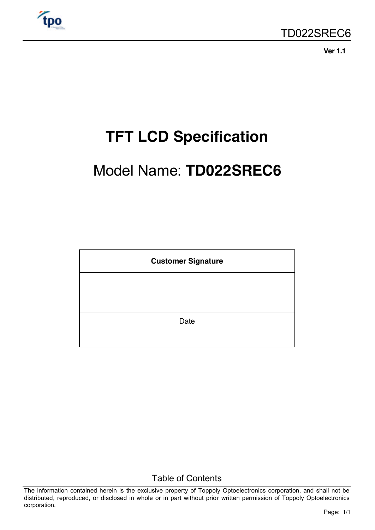

**Ver 1.1**

# **TFT LCD Specification**

# Model Name: **TD022SREC6**

| <b>Customer Signature</b> |  |  |  |  |  |
|---------------------------|--|--|--|--|--|
|                           |  |  |  |  |  |
|                           |  |  |  |  |  |
| Date                      |  |  |  |  |  |
|                           |  |  |  |  |  |

Table of Contents

The information contained herein is the exclusive property of Toppoly Optoelectronics corporation, and shall not be distributed, reproduced, or disclosed in whole or in part without prior written permission of Toppoly Optoelectronics corporation.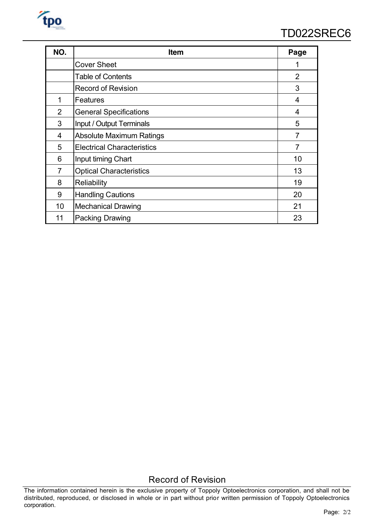

| NO.            | Item                              | Page           |
|----------------|-----------------------------------|----------------|
|                | <b>Cover Sheet</b>                | 1              |
|                | <b>Table of Contents</b>          | $\overline{2}$ |
|                | <b>Record of Revision</b>         | 3              |
| $\mathbf 1$    | Features                          | 4              |
| $\overline{2}$ | <b>General Specifications</b>     | 4              |
| 3              | Input / Output Terminals          | 5              |
| 4              | <b>Absolute Maximum Ratings</b>   | 7              |
| 5              | <b>Electrical Characteristics</b> | 7              |
| 6              | Input timing Chart                | 10             |
| 7              | <b>Optical Characteristics</b>    | 13             |
| 8              | Reliability                       | 19             |
| 9              | <b>Handling Cautions</b>          | 20             |
| 10             | <b>Mechanical Drawing</b>         | 21             |
| 11             | <b>Packing Drawing</b>            | 23             |

# Record of Revision

The information contained herein is the exclusive property of Toppoly Optoelectronics corporation, and shall not be distributed, reproduced, or disclosed in whole or in part without prior written permission of Toppoly Optoelectronics corporation.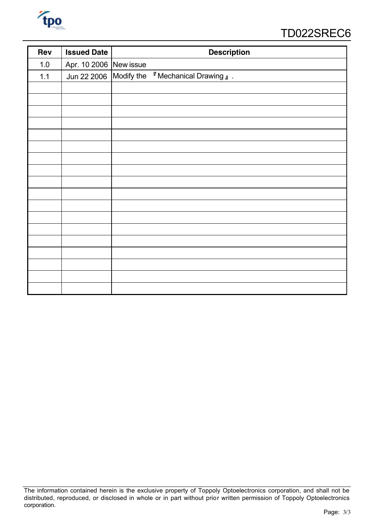

# TD022SREC6

| Rev   | <b>Issued Date</b>     | <b>Description</b>                                        |
|-------|------------------------|-----------------------------------------------------------|
| $1.0$ | Apr. 10 2006 New issue |                                                           |
| $1.1$ | Jun 22 2006            | Modify the <sup>F</sup> Mechanical Drawing <sub>J</sub> . |
|       |                        |                                                           |
|       |                        |                                                           |
|       |                        |                                                           |
|       |                        |                                                           |
|       |                        |                                                           |
|       |                        |                                                           |
|       |                        |                                                           |
|       |                        |                                                           |
|       |                        |                                                           |
|       |                        |                                                           |
|       |                        |                                                           |
|       |                        |                                                           |
|       |                        |                                                           |
|       |                        |                                                           |
|       |                        |                                                           |
|       |                        |                                                           |
|       |                        |                                                           |
|       |                        |                                                           |

The information contained herein is the exclusive property of Toppoly Optoelectronics corporation, and shall not be distributed, reproduced, or disclosed in whole or in part without prior written permission of Toppoly Optoelectronics corporation.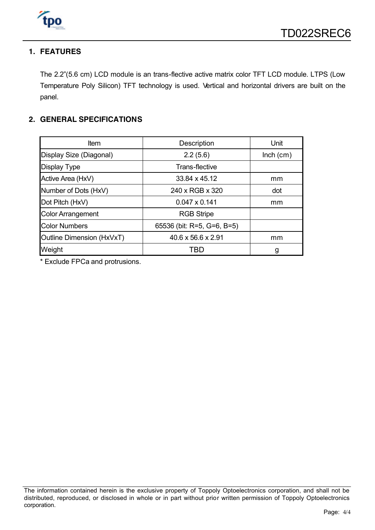

#### **1. FEATURES**

The 2.2"(5.6 cm) LCD module is an trans-flective active matrix color TFT LCD module. LTPS (Low Temperature Poly Silicon) TFT technology is used. Vertical and horizontal drivers are built on the panel.

#### **2. GENERAL SPECIFICATIONS**

| Item                      | Description                    | Unit        |
|---------------------------|--------------------------------|-------------|
| Display Size (Diagonal)   | 2.2(5.6)                       | $lnch$ (cm) |
| <b>Display Type</b>       | Trans-flective                 |             |
| Active Area (HxV)         | 33.84 x 45.12                  | mm          |
| Number of Dots (HxV)      | 240 x RGB x 320                | dot         |
| Dot Pitch (HxV)           | $0.047 \times 0.141$           | mm          |
| <b>Color Arrangement</b>  | <b>RGB Stripe</b>              |             |
| <b>Color Numbers</b>      | 65536 (bit: R=5, G=6, B=5)     |             |
| Outline Dimension (HxVxT) | $40.6 \times 56.6 \times 2.91$ | mm          |
| Weight                    | TBD                            | g           |

\* Exclude FPCa and protrusions.

The information contained herein is the exclusive property of Toppoly Optoelectronics corporation, and shall not be distributed, reproduced, or disclosed in whole or in part without prior written permission of Toppoly Optoelectronics corporation.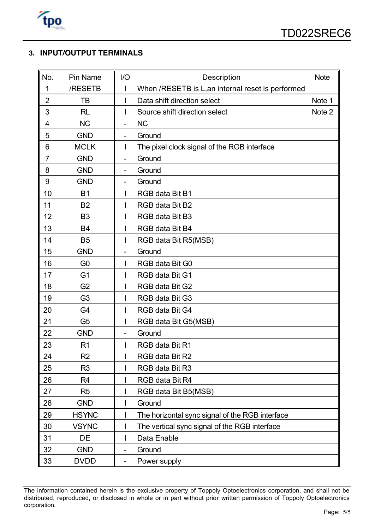

## **3. INPUT/OUTPUT TERMINALS**

| No.            | Pin Name       | I/O                      | Description                                       | <b>Note</b> |
|----------------|----------------|--------------------------|---------------------------------------------------|-------------|
| $\mathbf 1$    | /RESETB        | I                        | When /RESETB is L, an internal reset is performed |             |
| $\overline{2}$ | ТB             |                          | Data shift direction select                       | Note 1      |
| 3              | <b>RL</b>      |                          | Source shift direction select                     | Note 2      |
| 4              | <b>NC</b>      | $\overline{a}$           | <b>NC</b>                                         |             |
| 5              | <b>GND</b>     | -                        | Ground                                            |             |
| 6              | <b>MCLK</b>    | L                        | The pixel clock signal of the RGB interface       |             |
| $\overline{7}$ | <b>GND</b>     | -                        | Ground                                            |             |
| 8              | <b>GND</b>     | $\overline{\phantom{0}}$ | Ground                                            |             |
| 9              | <b>GND</b>     | $\overline{\phantom{0}}$ | Ground                                            |             |
| 10             | <b>B1</b>      | L                        | RGB data Bit B1                                   |             |
| 11             | <b>B2</b>      | I                        | RGB data Bit B2                                   |             |
| 12             | B <sub>3</sub> | I                        | RGB data Bit B3                                   |             |
| 13             | <b>B4</b>      | I                        | RGB data Bit B4                                   |             |
| 14             | <b>B5</b>      |                          | RGB data Bit R5(MSB)                              |             |
| 15             | <b>GND</b>     |                          | Ground                                            |             |
| 16             | G <sub>0</sub> |                          | RGB data Bit G0                                   |             |
| 17             | G <sub>1</sub> |                          | RGB data Bit G1                                   |             |
| 18             | G <sub>2</sub> |                          | RGB data Bit G2                                   |             |
| 19             | G <sub>3</sub> | L                        | RGB data Bit G3                                   |             |
| 20             | G <sub>4</sub> | L                        | RGB data Bit G4                                   |             |
| 21             | G <sub>5</sub> | L                        | RGB data Bit G5(MSB)                              |             |
| 22             | <b>GND</b>     | $\overline{a}$           | Ground                                            |             |
| 23             | R <sub>1</sub> |                          | RGB data Bit R1                                   |             |
| 24             | R <sub>2</sub> | I                        | RGB data Bit R2                                   |             |
| 25             | R <sub>3</sub> |                          | RGB data Bit R3                                   |             |
| 26             | R4             |                          | RGB data Bit R4                                   |             |
| 27             | R <sub>5</sub> | I                        | RGB data Bit B5(MSB)                              |             |
| 28             | <b>GND</b>     |                          | Ground                                            |             |
| 29             | <b>HSYNC</b>   |                          | The horizontal sync signal of the RGB interface   |             |
| 30             | <b>VSYNC</b>   |                          | The vertical sync signal of the RGB interface     |             |
| 31             | DE             | L                        | Data Enable                                       |             |
| 32             | <b>GND</b>     |                          | Ground                                            |             |
| 33             | <b>DVDD</b>    | $\overline{\phantom{0}}$ | Power supply                                      |             |

The information contained herein is the exclusive property of Toppoly Optoelectronics corporation, and shall not be distributed, reproduced, or disclosed in whole or in part without prior written permission of Toppoly Optoelectronics corporation.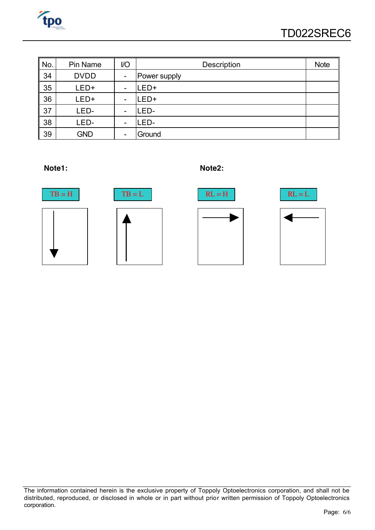

| No.        | Pin Name    | I/O                      | Description  | <b>Note</b> |
|------------|-------------|--------------------------|--------------|-------------|
| 34         | <b>DVDD</b> | $\blacksquare$           | Power supply |             |
| 35         | LED+        | $\overline{\phantom{a}}$ | -ED+         |             |
| 36         | LED+        | $\overline{\phantom{a}}$ | ED+          |             |
| $\vert$ 37 | LED-        | -                        | -ED-         |             |
| 38         | LED-        | $\overline{\phantom{a}}$ | .ED-         |             |
| 39         | <b>GND</b>  | $\qquad \qquad$          | Ground       |             |





The information contained herein is the exclusive property of Toppoly Optoelectronics corporation, and shall not be distributed, reproduced, or disclosed in whole or in part without prior written permission of Toppoly Optoelectronics corporation.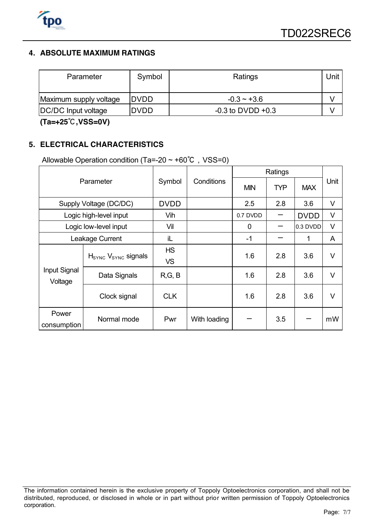

## **4. ABSOLUTE MAXIMUM RATINGS**

| Symbol<br>Parameter    |             | Ratings               |  |  |  |  |
|------------------------|-------------|-----------------------|--|--|--|--|
| Maximum supply voltage | <b>DVDD</b> | $-0.3 - +3.6$         |  |  |  |  |
| DC/DC Input voltage    | <b>DVDD</b> | $-0.3$ to DVDD $+0.3$ |  |  |  |  |

**(Ta=+25**℃**,VSS=0V)**

#### **5. ELECTRICAL CHARACTERISTICS**

Allowable Operation condition (Ta=-20  $\sim$  +60°C, VSS=0)

|                         |                                             |                        |              | Ratings    |            |             |        |
|-------------------------|---------------------------------------------|------------------------|--------------|------------|------------|-------------|--------|
|                         | Parameter                                   | Symbol                 | Conditions   | <b>MIN</b> | <b>TYP</b> | <b>MAX</b>  | Unit   |
|                         | Supply Voltage (DC/DC)                      | <b>DVDD</b>            |              | 2.5        | 2.8        | 3.6         | V      |
|                         | Logic high-level input                      | Vih                    |              | 0.7 DVDD   |            | <b>DVDD</b> | V      |
|                         | Logic low-level input                       | Vil                    |              | 0          |            | 0.3 DVDD    | $\vee$ |
| Leakage Current         |                                             | iL                     |              | $-1$       |            | 1           | A      |
| Input Signal<br>Voltage | H <sub>SYNC</sub> V <sub>SYNC</sub> signals | <b>HS</b><br><b>VS</b> |              | 1.6        | 2.8        | 3.6         | V      |
|                         | Data Signals                                | R, G, B                |              | 1.6        | 2.8        | 3.6         | $\vee$ |
|                         | Clock signal                                | <b>CLK</b>             |              | 1.6        | 2.8        | 3.6         | $\vee$ |
| Power<br>consumption    | Normal mode                                 | Pwr                    | With loading |            | 3.5        |             | mW     |

The information contained herein is the exclusive property of Toppoly Optoelectronics corporation, and shall not be distributed, reproduced, or disclosed in whole or in part without prior written permission of Toppoly Optoelectronics corporation.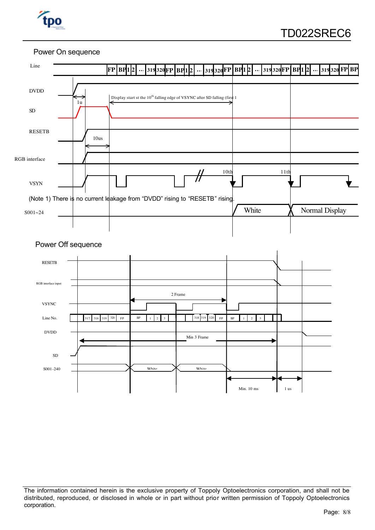

#### Power On sequence



The information contained herein is the exclusive property of Toppoly Optoelectronics corporation, and shall not be distributed, reproduced, or disclosed in whole or in part without prior written permission of Toppoly Optoelectronics corporation.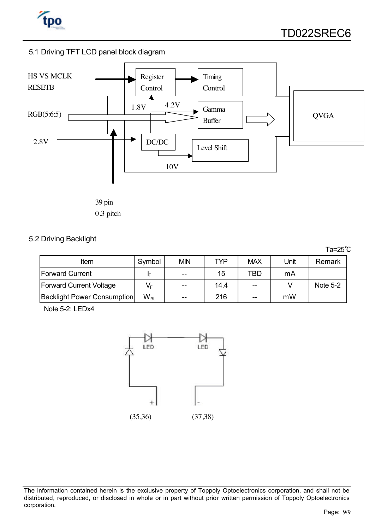

#### 5.1 Driving TFT LCD panel block diagram



39 pin 0.3 pitch

#### 5.2 Driving Backlight

|                                    |          |            |      |            |      | $Ta=25^{\circ}C$ |
|------------------------------------|----------|------------|------|------------|------|------------------|
| Item                               | Symbol   | <b>MIN</b> | TYP  | <b>MAX</b> | Unit | Remark           |
| <b>Forward Current</b>             | IF       | $- -$      | 15   | TBD        | mA   |                  |
| <b>Forward Current Voltage</b>     | $V_F$    | $- -$      | 14.4 | $- -$      |      | Note $5-2$       |
| <b>Backlight Power Consumption</b> | $W_{BL}$ | $- -$      | 216  | $- -$      | mW   |                  |

Note 5-2: LEDx4



The information contained herein is the exclusive property of Toppoly Optoelectronics corporation, and shall not be distributed, reproduced, or disclosed in whole or in part without prior written permission of Toppoly Optoelectronics corporation.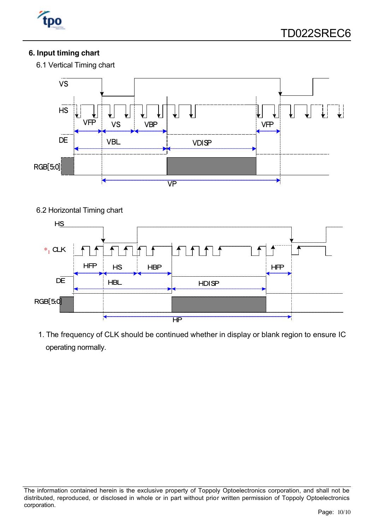

# **6. Input timing chart**

6.1 Vertical Timing chart



### 6.2 Horizontal Timing chart



1. The frequency of CLK should be continued whether in display or blank region to ensure IC operating normally.

The information contained herein is the exclusive property of Toppoly Optoelectronics corporation, and shall not be distributed, reproduced, or disclosed in whole or in part without prior written permission of Toppoly Optoelectronics corporation.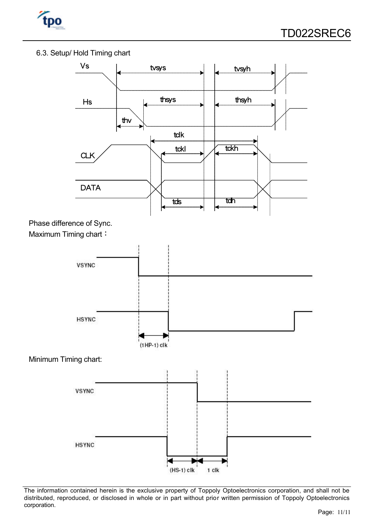

#### 6.3. Setup/ Hold Timing chart



The information contained herein is the exclusive property of Toppoly Optoelectronics corporation, and shall not be distributed, reproduced, or disclosed in whole or in part without prior written permission of Toppoly Optoelectronics corporation.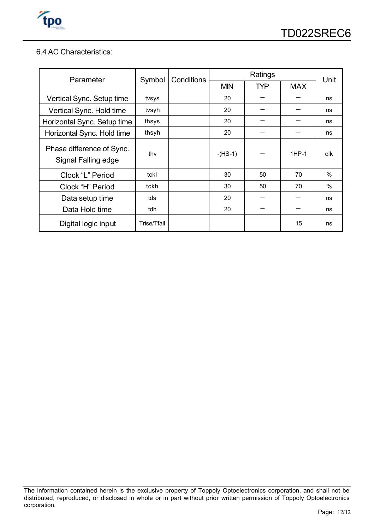

#### 6.4 AC Characteristics:

| Parameter                                        | Symbol      | Conditions |            | Unit       |            |      |
|--------------------------------------------------|-------------|------------|------------|------------|------------|------|
|                                                  |             |            | <b>MIN</b> | <b>TYP</b> | <b>MAX</b> |      |
| Vertical Sync. Setup time                        | tvsys       |            | 20         |            |            | ns   |
| Vertical Sync. Hold time                         | tvsyh       |            | 20         |            |            | ns   |
| Horizontal Sync. Setup time                      | thsys       |            | 20         |            |            | ns   |
| Horizontal Sync. Hold time                       | thsyh       |            | 20         |            |            | ns   |
| Phase difference of Sync.<br>Signal Falling edge | thy         |            | $-HS-1)$   |            | $1HP-1$    | clk  |
| Clock "L" Period                                 | tckl        |            | 30         | 50         | 70         | $\%$ |
| Clock "H" Period                                 | tckh        |            | 30         | 50         | 70         | $\%$ |
| Data setup time                                  | tds         |            | 20         |            |            | ns   |
| Data Hold time                                   | tdh         |            | 20         |            |            | ns   |
| Digital logic input                              | Trise/Tfall |            |            |            | 15         | ns   |

The information contained herein is the exclusive property of Toppoly Optoelectronics corporation, and shall not be distributed, reproduced, or disclosed in whole or in part without prior written permission of Toppoly Optoelectronics corporation.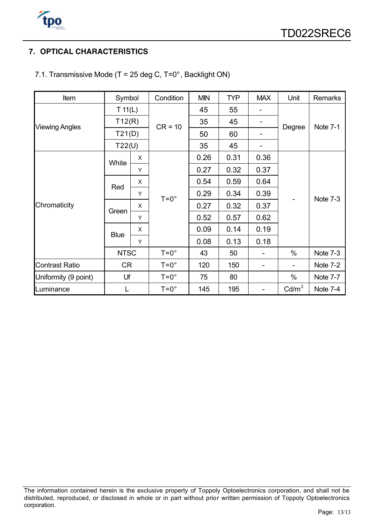

## **7. OPTICAL CHARACTERISTICS**

| Item                  | Symbol      |              | Condition     | <b>MIN</b> | <b>TYP</b> | <b>MAX</b> | Unit              | <b>Remarks</b> |
|-----------------------|-------------|--------------|---------------|------------|------------|------------|-------------------|----------------|
|                       | T 11(L)     |              |               | 45         | 55         |            |                   |                |
| <b>Viewing Angles</b> | T12(R)      |              | $CR = 10$     | 35         | 45         |            |                   |                |
|                       | T21(D)      |              |               | 50         | 60         |            | Degree            | Note 7-1       |
|                       | T22(U)      |              |               | 35         | 45         |            |                   |                |
|                       | White       | X            |               | 0.26       | 0.31       | 0.36       |                   |                |
|                       |             | Y            |               | 0.27       | 0.32       | 0.37       |                   | Note 7-3       |
|                       | Red         | X            | $T=0^\circ$   | 0.54       | 0.59       | 0.64       |                   |                |
|                       |             | Y            |               | 0.29       | 0.34       | 0.39       |                   |                |
| Chromaticity          | Green       | X            |               | 0.27       | 0.32       | 0.37       |                   |                |
|                       |             | Y            |               | 0.52       | 0.57       | 0.62       |                   |                |
|                       |             | $\mathsf{x}$ |               | 0.09       | 0.14       | 0.19       |                   |                |
|                       | <b>Blue</b> | Y            |               | 0.08       | 0.13       | 0.18       |                   |                |
|                       | <b>NTSC</b> |              | $T=0^\circ$   | 43         | 50         |            | $\%$              | Note 7-3       |
| <b>Contrast Ratio</b> | <b>CR</b>   |              | $T=0^\circ$   | 120        | 150        |            |                   | Note 7-2       |
| Uniformity (9 point)  | Uf          |              | $T=0^\circ$   | 75         | 80         |            | $\%$              | Note 7-7       |
| Luminance             | L           |              | $T = 0^\circ$ | 145        | 195        |            | Cd/m <sup>2</sup> | Note 7-4       |

7.1. Transmissive Mode (T = 25 deg C, T=0°, Backlight ON)

The information contained herein is the exclusive property of Toppoly Optoelectronics corporation, and shall not be distributed, reproduced, or disclosed in whole or in part without prior written permission of Toppoly Optoelectronics corporation.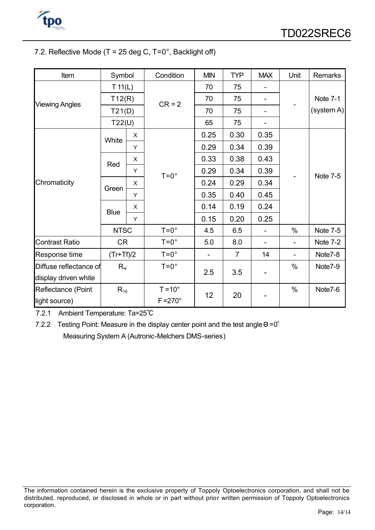

#### 7.2. Reflective Mode ( $T = 25$  deg C,  $T = 0^\circ$ , Backlight off)

| Item                              | Symbol      |   | Condition        | <b>MIN</b> | <b>TYP</b>     | <b>MAX</b>                   | Unit                         | <b>Remarks</b>  |
|-----------------------------------|-------------|---|------------------|------------|----------------|------------------------------|------------------------------|-----------------|
|                                   | T 11(L)     |   |                  | 70         | 75             |                              |                              |                 |
|                                   | T12(R)      |   | $CR = 2$         | 70         | 75             | $\overline{\phantom{a}}$     |                              | <b>Note 7-1</b> |
| <b>Viewing Angles</b>             | T21(D)      |   |                  | 70         | 75             | $\qquad \qquad \blacksquare$ |                              | (system A)      |
|                                   | T22(U)      |   |                  | 65         | 75             |                              |                              |                 |
|                                   | White       | X |                  | 0.25       | 0.30           | 0.35                         |                              |                 |
|                                   |             | Υ |                  | 0.29       | 0.34           | 0.39                         |                              |                 |
|                                   | Red         | X |                  | 0.33       | 0.38           | 0.43                         |                              |                 |
|                                   |             | Υ | $T=0^\circ$      | 0.29       | 0.34           | 0.39                         |                              | <b>Note 7-5</b> |
| Chromaticity                      | Green       | X |                  | 0.24       | 0.29           | 0.34                         |                              |                 |
|                                   |             | Υ |                  | 0.35       | 0.40           | 0.45                         |                              |                 |
|                                   | <b>Blue</b> | X |                  | 0.14       | 0.19           | 0.24                         |                              |                 |
|                                   |             | Y |                  | 0.15       | 0.20           | 0.25                         |                              |                 |
|                                   | <b>NTSC</b> |   | $T = 0^\circ$    | 4.5        | 6.5            | ÷,                           | $\%$                         | Note 7-5        |
| <b>Contrast Ratio</b>             | <b>CR</b>   |   | $T=0^{\circ}$    | 5.0        | 8.0            | $\qquad \qquad \blacksquare$ | $\qquad \qquad \blacksquare$ | Note 7-2        |
| Response time                     | $(Tr+Tf)/2$ |   | $T=0^\circ$      |            | $\overline{7}$ | 14                           |                              | Note7-8         |
| Diffuse reflectance of<br>$R_{w}$ |             |   | $T = 0^\circ$    |            |                |                              | $\%$                         | Note7-9         |
| display driven white              |             |   | 2.5              | 3.5        |                |                              |                              |                 |
| Reflectance (Point                | $R_{10}$    |   | $T = 10^{\circ}$ |            | 20             |                              | $\%$                         | Note7-6         |
| light source)                     |             |   | $F = 270^\circ$  | 12         |                |                              |                              |                 |

7.2.1 Ambient Temperature: Ta=25℃

7.2.2 Testing Point: Measure in the display center point and the test angle  $\Theta = 0^\circ$ Measuring System A (Autronic-Melchers DMS-series)

The information contained herein is the exclusive property of Toppoly Optoelectronics corporation, and shall not be distributed, reproduced, or disclosed in whole or in part without prior written permission of Toppoly Optoelectronics corporation.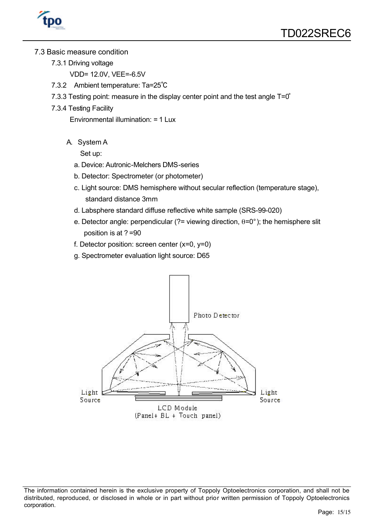

#### 7.3 Basic measure condition

- 7.3.1 Driving voltage
	- VDD= 12.0V, VEE=-6.5V
- 7.3.2 Ambient temperature: Ta=25℃
- 7.3.3 Testing point: measure in the display center point and the test angle T=0°
- 7.3.4 Testing Facility

Environmental illumination: = 1 Lux

A. System A

Set up:

- a. Device: Autronic-Melchers DMS-series
- b. Detector: Spectrometer (or photometer)
- c. Light source: DMS hemisphere without secular reflection (temperature stage), standard distance 3mm
- d. Labsphere standard diffuse reflective white sample (SRS-99-020)
- e. Detector angle: perpendicular (?= viewing direction,  $\theta = 0^{\circ}$ ); the hemisphere slit position is at ? =90
- f. Detector position: screen center  $(x=0, y=0)$
- g. Spectrometer evaluation light source: D65



The information contained herein is the exclusive property of Toppoly Optoelectronics corporation, and shall not be distributed, reproduced, or disclosed in whole or in part without prior written permission of Toppoly Optoelectronics corporation.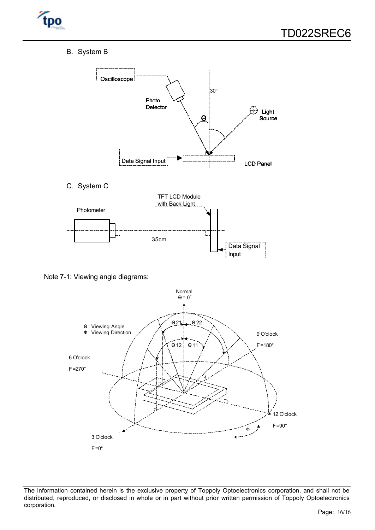

B. System B



Note 7-1: Viewing angle diagrams:



The information contained herein is the exclusive property of Toppoly Optoelectronics corporation, and shall not be distributed, reproduced, or disclosed in whole or in part without prior written permission of Toppoly Optoelectronics corporation.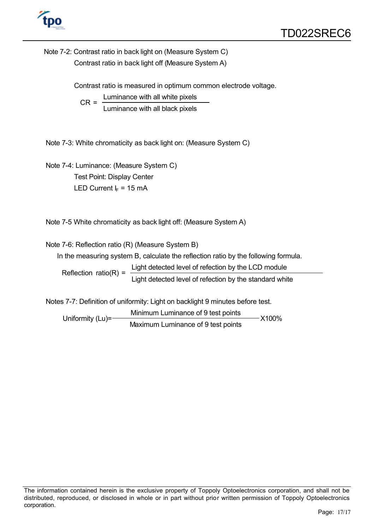

Note 7-2: Contrast ratio in back light on (Measure System C) Contrast ratio in back light off (Measure System A)

Contrast ratio is measured in optimum common electrode voltage.

 $CR = \frac{Luminance with all white pixels}{Laplace}$ Luminance with all black pixels

Note 7-3: White chromaticity as back light on: (Measure System C)

Note 7-4: Luminance: (Measure System C) Test Point: Display Center LED Current  $I_F = 15$  mA

Note 7-5 White chromaticity as back light off: (Measure System A)

Note 7-6: Reflection ratio (R) (Measure System B)

In the measuring system B, calculate the reflection ratio by the following formula.

Reflection ratio(R) =  $\frac{\text{Light detected level of reflection by the LCD module}}{\text{Lengthed}}$ Light detected level of refection by the standard white

Notes 7-7: Definition of uniformity: Light on backlight 9 minutes before test.

Minimum Luminance of 9 test points Uniformity (Lu)= Maximum Luminance of 9 test points X100%

The information contained herein is the exclusive property of Toppoly Optoelectronics corporation, and shall not be distributed, reproduced, or disclosed in whole or in part without prior written permission of Toppoly Optoelectronics corporation.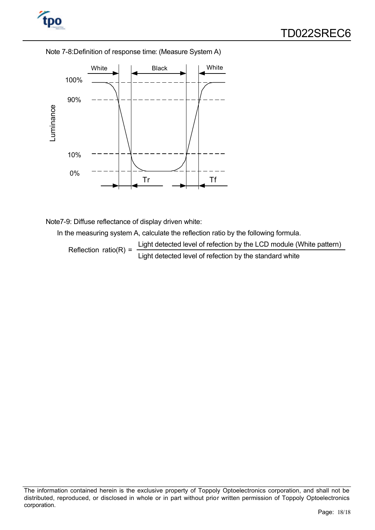





Note7-9: Diffuse reflectance of display driven white:

In the measuring system A, calculate the reflection ratio by the following formula.

Reflection ratio(R) =  $\frac{\text{Light detected level of reflection by the LCD module (White pattern)}}{\text{Lengthed level of the original code}}$ Light detected level of refection by the standard white

The information contained herein is the exclusive property of Toppoly Optoelectronics corporation, and shall not be distributed, reproduced, or disclosed in whole or in part without prior written permission of Toppoly Optoelectronics corporation.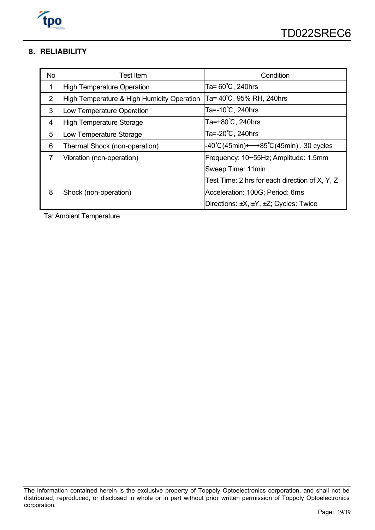

#### **8. RELIABILITY**

| <b>No</b>      | <b>Test Item</b>                           | Condition                                      |
|----------------|--------------------------------------------|------------------------------------------------|
| 1              | <b>High Temperature Operation</b>          | Ta= 60℃, 240hrs                                |
| $\overline{2}$ | High Temperature & High Humidity Operation | Ta= 40℃, 95% RH, 240hrs                        |
| 3              | Low Temperature Operation                  | Ta=-10℃, 240hrs                                |
| 4              | <b>High Temperature Storage</b>            | Ta=+80°C, 240hrs                               |
| 5              | Low Temperature Storage                    | Ta=-20°C, 240hrs                               |
| 6              | Thermal Shock (non-operation)              | -40℃(45min)←→85℃(45min) , 30 cycles            |
| $\overline{7}$ | Vibration (non-operation)                  | Frequency: 10~55Hz; Amplitude: 1.5mm           |
|                |                                            | Sweep Time: 11min                              |
|                |                                            | Test Time: 2 hrs for each direction of X, Y, Z |
| 8              | Shock (non-operation)                      | Acceleration: 100G; Period: 6ms                |
|                |                                            | Directions: ±X, ±Y, ±Z; Cycles: Twice          |

Ta: Ambient Temperature

The information contained herein is the exclusive property of Toppoly Optoelectronics corporation, and shall not be distributed, reproduced, or disclosed in whole or in part without prior written permission of Toppoly Optoelectronics corporation.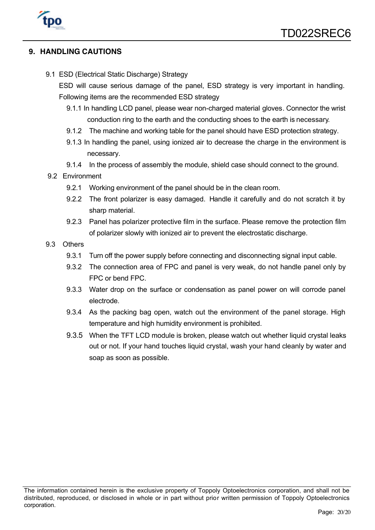

#### **9. HANDLING CAUTIONS**

9.1 ESD (Electrical Static Discharge) Strategy

ESD will cause serious damage of the panel, ESD strategy is very important in handling. Following items are the recommended ESD strategy

- 9.1.1 In handling LCD panel, please wear non-charged material gloves. Connector the wrist conduction ring to the earth and the conducting shoes to the earth is necessary.
- 9.1.2 The machine and working table for the panel should have ESD protection strategy.
- 9.1.3 In handling the panel, using ionized air to decrease the charge in the environment is necessary.
- 9.1.4 In the process of assembly the module, shield case should connect to the ground.
- 9.2 Environment
	- 9.2.1 Working environment of the panel should be in the clean room.
	- 9.2.2 The front polarizer is easy damaged. Handle it carefully and do not scratch it by sharp material.
	- 9.2.3 Panel has polarizer protective film in the surface. Please remove the protection film of polarizer slowly with ionized air to prevent the electrostatic discharge.
- 9.3 Others
	- 9.3.1 Turn off the power supply before connecting and disconnecting signal input cable.
	- 9.3.2 The connection area of FPC and panel is very weak, do not handle panel only by FPC or bend FPC.
	- 9.3.3 Water drop on the surface or condensation as panel power on will corrode panel electrode.
	- 9.3.4 As the packing bag open, watch out the environment of the panel storage. High temperature and high humidity environment is prohibited.
	- 9.3.5 When the TFT LCD module is broken, please watch out whether liquid crystal leaks out or not. If your hand touches liquid crystal, wash your hand cleanly by water and soap as soon as possible.

The information contained herein is the exclusive property of Toppoly Optoelectronics corporation, and shall not be distributed, reproduced, or disclosed in whole or in part without prior written permission of Toppoly Optoelectronics corporation.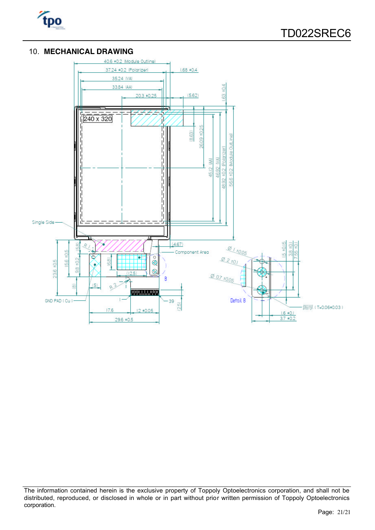

#### 10. **MECHANICAL DRAWING**



The information contained herein is the exclusive property of Toppoly Optoelectronics corporation, and shall not be distributed, reproduced, or disclosed in whole or in part without prior written permission of Toppoly Optoelectronics corporation.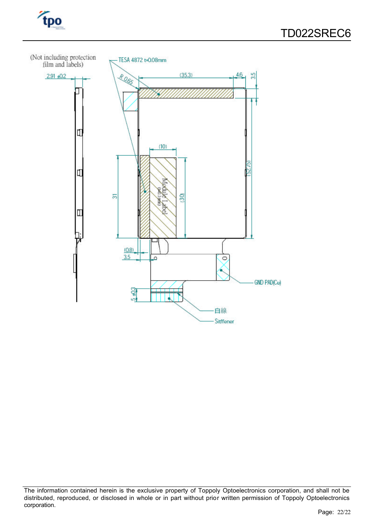



The information contained herein is the exclusive property of Toppoly Optoelectronics corporation, and shall not be distributed, reproduced, or disclosed in whole or in part without prior written permission of Toppoly Optoelectronics corporation.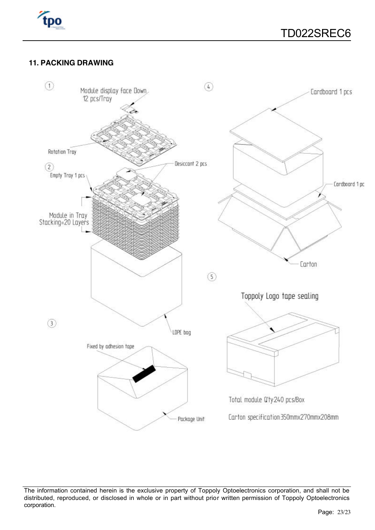

#### **11. PACKING DRAWING**



The information contained herein is the exclusive property of Toppoly Optoelectronics corporation, and shall not be distributed, reproduced, or disclosed in whole or in part without prior written permission of Toppoly Optoelectronics corporation.